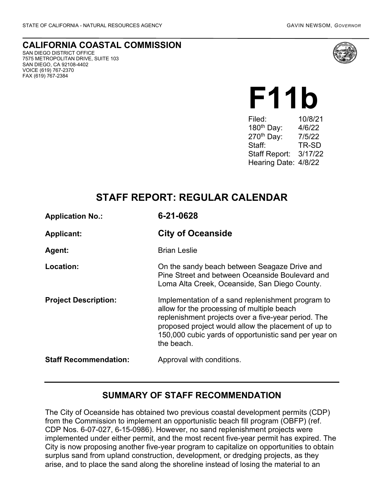FAX (619) 767-2384

**CALIFORNIA COASTAL COMMISSION** SAN DIEGO DISTRICT OFFICE 7575 METROPOLITAN DRIVE, SUITE 103 SAN DIEGO, CA 92108-4402 VOICE (619) 767-2370



# **F11b**

Filed: 10/8/21 180th Day: 4/6/22 270th Day: 7/5/22 Staff: TR-SD Staff Report: 3/17/22 Hearing Date: 4/8/22

## **STAFF REPORT: REGULAR CALENDAR**

| <b>Application No.:</b>      | 6-21-0628                                                                                                                                                                                                                                                                            |
|------------------------------|--------------------------------------------------------------------------------------------------------------------------------------------------------------------------------------------------------------------------------------------------------------------------------------|
| <b>Applicant:</b>            | <b>City of Oceanside</b>                                                                                                                                                                                                                                                             |
| <b>Agent:</b>                | <b>Brian Leslie</b>                                                                                                                                                                                                                                                                  |
| Location:                    | On the sandy beach between Seagaze Drive and<br>Pine Street and between Oceanside Boulevard and<br>Loma Alta Creek, Oceanside, San Diego County.                                                                                                                                     |
| <b>Project Description:</b>  | Implementation of a sand replenishment program to<br>allow for the processing of multiple beach<br>replenishment projects over a five-year period. The<br>proposed project would allow the placement of up to<br>150,000 cubic yards of opportunistic sand per year on<br>the beach. |
| <b>Staff Recommendation:</b> | Approval with conditions.                                                                                                                                                                                                                                                            |

## **SUMMARY OF STAFF RECOMMENDATION**

The City of Oceanside has obtained two previous coastal development permits (CDP) from the Commission to implement an opportunistic beach fill program (OBFP) (ref. CDP Nos. 6-07-027, 6-15-0986). However, no sand replenishment projects were implemented under either permit, and the most recent five-year permit has expired. The City is now proposing another five-year program to capitalize on opportunities to obtain surplus sand from upland construction, development, or dredging projects, as they arise, and to place the sand along the shoreline instead of losing the material to an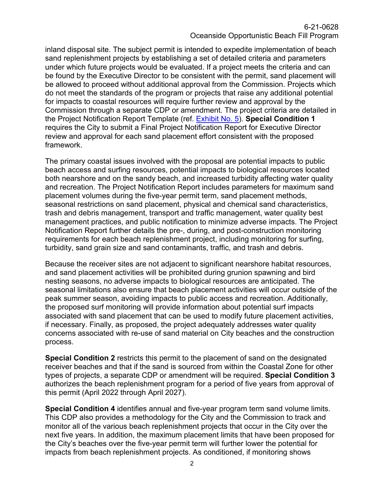inland disposal site. The subject permit is intended to expedite implementation of beach sand replenishment projects by establishing a set of detailed criteria and parameters under which future projects would be evaluated. If a project meets the criteria and can be found by the Executive Director to be consistent with the permit, sand placement will be allowed to proceed without additional approval from the Commission. Projects which do not meet the standards of the program or projects that raise any additional potential for impacts to coastal resources will require further review and approval by the Commission through a separate CDP or amendment. The project criteria are detailed in the Project Notification Report Template (ref. [Exhibit No. 5\)](https://documents.coastal.ca.gov/reports/2022/4/F11b/F11b-4-2022-exhibits.pdf). **Special Condition 1** requires the City to submit a Final Project Notification Report for Executive Director review and approval for each sand placement effort consistent with the proposed framework.

The primary coastal issues involved with the proposal are potential impacts to public beach access and surfing resources, potential impacts to biological resources located both nearshore and on the sandy beach, and increased turbidity affecting water quality and recreation. The Project Notification Report includes parameters for maximum sand placement volumes during the five-year permit term, sand placement methods, seasonal restrictions on sand placement, physical and chemical sand characteristics, trash and debris management, transport and traffic management, water quality best management practices, and public notification to minimize adverse impacts. The Project Notification Report further details the pre-, during, and post-construction monitoring requirements for each beach replenishment project, including monitoring for surfing, turbidity, sand grain size and sand contaminants, traffic, and trash and debris.

Because the receiver sites are not adjacent to significant nearshore habitat resources, and sand placement activities will be prohibited during grunion spawning and bird nesting seasons, no adverse impacts to biological resources are anticipated. The seasonal limitations also ensure that beach placement activities will occur outside of the peak summer season, avoiding impacts to public access and recreation. Additionally, the proposed surf monitoring will provide information about potential surf impacts associated with sand placement that can be used to modify future placement activities, if necessary. Finally, as proposed, the project adequately addresses water quality concerns associated with re-use of sand material on City beaches and the construction process.

**Special Condition 2** restricts this permit to the placement of sand on the designated receiver beaches and that if the sand is sourced from within the Coastal Zone for other types of projects, a separate CDP or amendment will be required. **Special Condition 3** authorizes the beach replenishment program for a period of five years from approval of this permit (April 2022 through April 2027).

**Special Condition 4** identifies annual and five-year program term sand volume limits. This CDP also provides a methodology for the City and the Commission to track and monitor all of the various beach replenishment projects that occur in the City over the next five years. In addition, the maximum placement limits that have been proposed for the City's beaches over the five-year permit term will further lower the potential for impacts from beach replenishment projects. As conditioned, if monitoring shows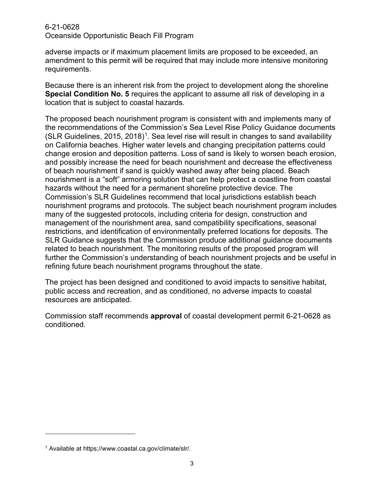adverse impacts or if maximum placement limits are proposed to be exceeded, an amendment to this permit will be required that may include more intensive monitoring requirements.

Because there is an inherent risk from the project to development along the shoreline **Special Condition No. 5** requires the applicant to assume all risk of developing in a location that is subject to coastal hazards.

The proposed beach nourishment program is consistent with and implements many of the recommendations of the Commission's Sea Level Rise Policy Guidance documents  $(SLR)$  Guidelines, 20[1](#page-2-0)5, 2018)<sup>1</sup>. Sea level rise will result in changes to sand availability on California beaches. Higher water levels and changing precipitation patterns could change erosion and deposition patterns. Loss of sand is likely to worsen beach erosion, and possibly increase the need for beach nourishment and decrease the effectiveness of beach nourishment if sand is quickly washed away after being placed. Beach nourishment is a "soft" armoring solution that can help protect a coastline from coastal hazards without the need for a permanent shoreline protective device. The Commission's SLR Guidelines recommend that local jurisdictions establish beach nourishment programs and protocols. The subject beach nourishment program includes many of the suggested protocols, including criteria for design, construction and management of the nourishment area, sand compatibility specifications, seasonal restrictions, and identification of environmentally preferred locations for deposits. The SLR Guidance suggests that the Commission produce additional guidance documents related to beach nourishment. The monitoring results of the proposed program will further the Commission's understanding of beach nourishment projects and be useful in refining future beach nourishment programs throughout the state.

The project has been designed and conditioned to avoid impacts to sensitive habitat, public access and recreation, and as conditioned, no adverse impacts to coastal resources are anticipated.

Commission staff recommends **approval** of coastal development permit 6-21-0628 as conditioned.

<span id="page-2-0"></span><sup>1</sup> Available at https://www.coastal.ca.gov/climate/slr/.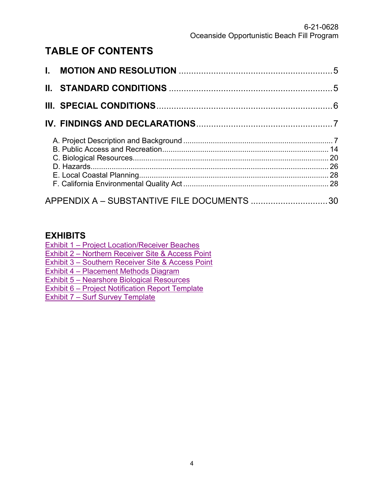# **TABLE OF CONTENTS**

| APPENDIX A - SUBSTANTIVE FILE DOCUMENTS 30 |  |
|--------------------------------------------|--|

## **EXHIBITS**

[Exhibit 1 – Project Location/Receiver Beaches](https://documents.coastal.ca.gov/reports/2022/4/F11b/F11b-4-2022-exhibits.pdf)

[Exhibit 2 – Northern Receiver Site & Access Point](https://documents.coastal.ca.gov/reports/2022/4/F11b/F11b-4-2022-exhibits.pdf)

[Exhibit 3 – Southern Receiver Site & Access Point](https://documents.coastal.ca.gov/reports/2022/4/F11b/F11b-4-2022-exhibits.pdf)

[Exhibit 4 – Placement Methods Diagram](https://documents.coastal.ca.gov/reports/2022/4/F11b/F11b-4-2022-exhibits.pdf)

[Exhibit 5 – Nearshore Biological Resources](https://documents.coastal.ca.gov/reports/2022/4/F11b/F11b-4-2022-exhibits.pdf)

[Exhibit 6 – Project Notification Report Template](https://documents.coastal.ca.gov/reports/2022/4/F11b/F11b-4-2022-exhibits.pdf)

[Exhibit 7 – Surf Survey Template](https://documents.coastal.ca.gov/reports/2022/4/F11b/F11b-4-2022-exhibits.pdf)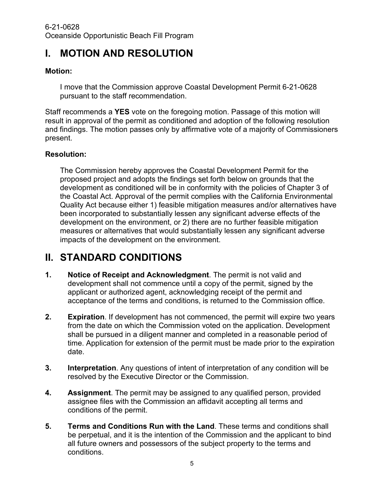# <span id="page-4-0"></span>**I. MOTION AND RESOLUTION**

#### **Motion:**

I move that the Commission approve Coastal Development Permit 6-21-0628 pursuant to the staff recommendation.

Staff recommends a **YES** vote on the foregoing motion. Passage of this motion will result in approval of the permit as conditioned and adoption of the following resolution and findings. The motion passes only by affirmative vote of a majority of Commissioners present.

#### **Resolution:**

The Commission hereby approves the Coastal Development Permit for the proposed project and adopts the findings set forth below on grounds that the development as conditioned will be in conformity with the policies of Chapter 3 of the Coastal Act. Approval of the permit complies with the California Environmental Quality Act because either 1) feasible mitigation measures and/or alternatives have been incorporated to substantially lessen any significant adverse effects of the development on the environment, or 2) there are no further feasible mitigation measures or alternatives that would substantially lessen any significant adverse impacts of the development on the environment.

# <span id="page-4-1"></span>**II. STANDARD CONDITIONS**

- **1. Notice of Receipt and Acknowledgment**. The permit is not valid and development shall not commence until a copy of the permit, signed by the applicant or authorized agent, acknowledging receipt of the permit and acceptance of the terms and conditions, is returned to the Commission office.
- **2. Expiration**. If development has not commenced, the permit will expire two years from the date on which the Commission voted on the application. Development shall be pursued in a diligent manner and completed in a reasonable period of time. Application for extension of the permit must be made prior to the expiration date.
- **3. Interpretation**. Any questions of intent of interpretation of any condition will be resolved by the Executive Director or the Commission.
- **4. Assignment**. The permit may be assigned to any qualified person, provided assignee files with the Commission an affidavit accepting all terms and conditions of the permit.
- **5. Terms and Conditions Run with the Land**. These terms and conditions shall be perpetual, and it is the intention of the Commission and the applicant to bind all future owners and possessors of the subject property to the terms and conditions.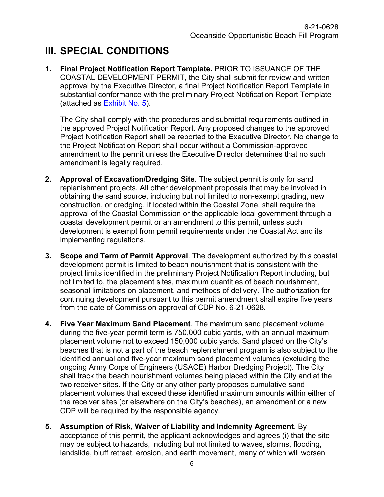# <span id="page-5-0"></span>**III. SPECIAL CONDITIONS**

**1. Final Project Notification Report Template.** PRIOR TO ISSUANCE OF THE COASTAL DEVELOPMENT PERMIT, the City shall submit for review and written approval by the Executive Director, a final Project Notification Report Template in substantial conformance with the preliminary Project Notification Report Template (attached as **Exhibit No. 5**).

The City shall comply with the procedures and submittal requirements outlined in the approved Project Notification Report. Any proposed changes to the approved Project Notification Report shall be reported to the Executive Director. No change to the Project Notification Report shall occur without a Commission-approved amendment to the permit unless the Executive Director determines that no such amendment is legally required.

- **2. Approval of Excavation/Dredging Site**. The subject permit is only for sand replenishment projects. All other development proposals that may be involved in obtaining the sand source, including but not limited to non-exempt grading, new construction, or dredging, if located within the Coastal Zone, shall require the approval of the Coastal Commission or the applicable local government through a coastal development permit or an amendment to this permit, unless such development is exempt from permit requirements under the Coastal Act and its implementing regulations.
- **3. Scope and Term of Permit Approval**. The development authorized by this coastal development permit is limited to beach nourishment that is consistent with the project limits identified in the preliminary Project Notification Report including, but not limited to, the placement sites, maximum quantities of beach nourishment, seasonal limitations on placement, and methods of delivery. The authorization for continuing development pursuant to this permit amendment shall expire five years from the date of Commission approval of CDP No. 6-21-0628.
- **4. Five Year Maximum Sand Placement**. The maximum sand placement volume during the five-year permit term is 750,000 cubic yards, with an annual maximum placement volume not to exceed 150,000 cubic yards. Sand placed on the City's beaches that is not a part of the beach replenishment program is also subject to the identified annual and five-year maximum sand placement volumes (excluding the ongoing Army Corps of Engineers (USACE) Harbor Dredging Project). The City shall track the beach nourishment volumes being placed within the City and at the two receiver sites. If the City or any other party proposes cumulative sand placement volumes that exceed these identified maximum amounts within either of the receiver sites (or elsewhere on the City's beaches), an amendment or a new CDP will be required by the responsible agency.
- **5. Assumption of Risk, Waiver of Liability and Indemnity Agreement**. By acceptance of this permit, the applicant acknowledges and agrees (i) that the site may be subject to hazards, including but not limited to waves, storms, flooding, landslide, bluff retreat, erosion, and earth movement, many of which will worsen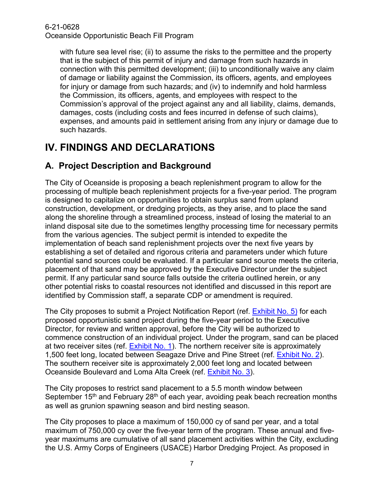with future sea level rise; (ii) to assume the risks to the permittee and the property that is the subject of this permit of injury and damage from such hazards in connection with this permitted development; (iii) to unconditionally waive any claim of damage or liability against the Commission, its officers, agents, and employees for injury or damage from such hazards; and (iv) to indemnify and hold harmless the Commission, its officers, agents, and employees with respect to the Commission's approval of the project against any and all liability, claims, demands, damages, costs (including costs and fees incurred in defense of such claims), expenses, and amounts paid in settlement arising from any injury or damage due to such hazards.

# <span id="page-6-0"></span>**IV. FINDINGS AND DECLARATIONS**

## <span id="page-6-1"></span>**A. Project Description and Background**

The City of Oceanside is proposing a beach replenishment program to allow for the processing of multiple beach replenishment projects for a five-year period. The program is designed to capitalize on opportunities to obtain surplus sand from upland construction, development, or dredging projects, as they arise, and to place the sand along the shoreline through a streamlined process, instead of losing the material to an inland disposal site due to the sometimes lengthy processing time for necessary permits from the various agencies. The subject permit is intended to expedite the implementation of beach sand replenishment projects over the next five years by establishing a set of detailed and rigorous criteria and parameters under which future potential sand sources could be evaluated. If a particular sand source meets the criteria, placement of that sand may be approved by the Executive Director under the subject permit. If any particular sand source falls outside the criteria outlined herein, or any other potential risks to coastal resources not identified and discussed in this report are identified by Commission staff, a separate CDP or amendment is required.

The City proposes to submit a Project Notification Report (ref. [Exhibit No. 5\)](https://documents.coastal.ca.gov/reports/2022/4/F11b/F11b-4-2022-exhibits.pdf) for each proposed opportunistic sand project during the five-year period to the Executive Director, for review and written approval, before the City will be authorized to commence construction of an individual project. Under the program, sand can be placed at two receiver sites (ref. [Exhibit No. 1\)](https://documents.coastal.ca.gov/reports/2022/4/F11b/F11b-4-2022-exhibits.pdf). The northern receiver site is approximately 1,500 feet long, located between Seagaze Drive and Pine Street (ref. [Exhibit No. 2\)](https://documents.coastal.ca.gov/reports/2022/4/F11b/F11b-4-2022-exhibits.pdf). The southern receiver site is approximately 2,000 feet long and located between Oceanside Boulevard and Loma Alta Creek (ref. [Exhibit No. 3\)](https://documents.coastal.ca.gov/reports/2022/4/F11b/F11b-4-2022-exhibits.pdf).

The City proposes to restrict sand placement to a 5.5 month window between September 15<sup>th</sup> and February 28<sup>th</sup> of each year, avoiding peak beach recreation months as well as grunion spawning season and bird nesting season.

The City proposes to place a maximum of 150,000 cy of sand per year, and a total maximum of 750,000 cy over the five-year term of the program. These annual and fiveyear maximums are cumulative of all sand placement activities within the City, excluding the U.S. Army Corps of Engineers (USACE) Harbor Dredging Project. As proposed in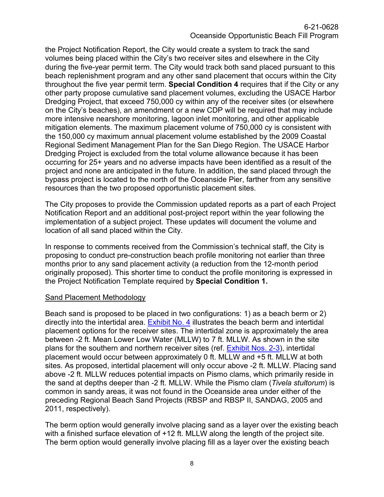the Project Notification Report, the City would create a system to track the sand volumes being placed within the City's two receiver sites and elsewhere in the City during the five-year permit term. The City would track both sand placed pursuant to this beach replenishment program and any other sand placement that occurs within the City throughout the five year permit term. **Special Condition 4** requires that if the City or any other party propose cumulative sand placement volumes, excluding the USACE Harbor Dredging Project, that exceed 750,000 cy within any of the receiver sites (or elsewhere on the City's beaches), an amendment or a new CDP will be required that may include more intensive nearshore monitoring, lagoon inlet monitoring, and other applicable mitigation elements. The maximum placement volume of 750,000 cy is consistent with the 150,000 cy maximum annual placement volume established by the 2009 Coastal Regional Sediment Management Plan for the San Diego Region. The USACE Harbor Dredging Project is excluded from the total volume allowance because it has been occurring for 25+ years and no adverse impacts have been identified as a result of the project and none are anticipated in the future. In addition, the sand placed through the bypass project is located to the north of the Oceanside Pier, farther from any sensitive resources than the two proposed opportunistic placement sites.

The City proposes to provide the Commission updated reports as a part of each Project Notification Report and an additional post-project report within the year following the implementation of a subject project. These updates will document the volume and location of all sand placed within the City.

In response to comments received from the Commission's technical staff, the City is proposing to conduct pre-construction beach profile monitoring not earlier than three months prior to any sand placement activity (a reduction from the 12-month period originally proposed). This shorter time to conduct the profile monitoring is expressed in the Project Notification Template required by **Special Condition 1.**

#### Sand Placement Methodology

Beach sand is proposed to be placed in two configurations: 1) as a beach berm or 2) directly into the intertidal area. [Exhibit No. 4](https://documents.coastal.ca.gov/reports/2022/4/F11b/F11b-4-2022-exhibits.pdf) illustrates the beach berm and intertidal placement options for the receiver sites. The intertidal zone is approximately the area between -2 ft. Mean Lower Low Water (MLLW) to 7 ft. MLLW. As shown in the site plans for the southern and northern receiver sites (ref. Exhibit [Nos. 2-3\)](https://documents.coastal.ca.gov/reports/2022/4/F11b/F11b-4-2022-exhibits.pdf), intertidal placement would occur between approximately 0 ft. MLLW and +5 ft. MLLW at both sites. As proposed, intertidal placement will only occur above -2 ft. MLLW. Placing sand above -2 ft. MLLW reduces potential impacts on Pismo clams, which primarily reside in the sand at depths deeper than -2 ft. MLLW. While the Pismo clam (*Tivela stultorum*) is common in sandy areas, it was not found in the Oceanside area under either of the preceding Regional Beach Sand Projects (RBSP and RBSP II, SANDAG, 2005 and 2011, respectively).

The berm option would generally involve placing sand as a layer over the existing beach with a finished surface elevation of +12 ft. MLLW along the length of the project site. The berm option would generally involve placing fill as a layer over the existing beach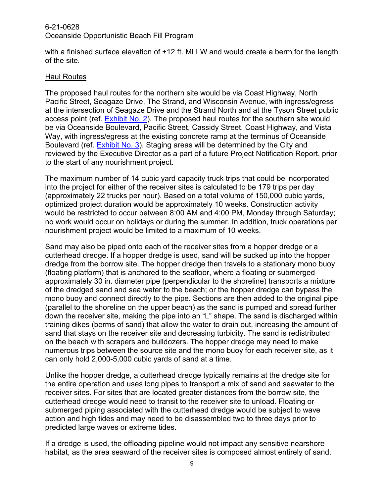with a finished surface elevation of +12 ft. MLLW and would create a berm for the length of the site.

#### Haul Routes

The proposed haul routes for the northern site would be via Coast Highway, North Pacific Street, Seagaze Drive, The Strand, and Wisconsin Avenue, with ingress/egress at the intersection of Seagaze Drive and the Strand North and at the Tyson Street public access point (ref. [Exhibit No. 2\)](https://documents.coastal.ca.gov/reports/2022/4/F11b/F11b-4-2022-exhibits.pdf). The proposed haul routes for the southern site would be via Oceanside Boulevard, Pacific Street, Cassidy Street, Coast Highway, and Vista Way, with ingress/egress at the existing concrete ramp at the terminus of Oceanside Boulevard (ref. [Exhibit No. 3\)](https://documents.coastal.ca.gov/reports/2022/4/F11b/F11b-4-2022-exhibits.pdf). Staging areas will be determined by the City and reviewed by the Executive Director as a part of a future Project Notification Report, prior to the start of any nourishment project.

The maximum number of 14 cubic yard capacity truck trips that could be incorporated into the project for either of the receiver sites is calculated to be 179 trips per day (approximately 22 trucks per hour). Based on a total volume of 150,000 cubic yards, optimized project duration would be approximately 10 weeks. Construction activity would be restricted to occur between 8:00 AM and 4:00 PM, Monday through Saturday; no work would occur on holidays or during the summer. In addition, truck operations per nourishment project would be limited to a maximum of 10 weeks.

Sand may also be piped onto each of the receiver sites from a hopper dredge or a cutterhead dredge. If a hopper dredge is used, sand will be sucked up into the hopper dredge from the borrow site. The hopper dredge then travels to a stationary mono buoy (floating platform) that is anchored to the seafloor, where a floating or submerged approximately 30 in. diameter pipe (perpendicular to the shoreline) transports a mixture of the dredged sand and sea water to the beach; or the hopper dredge can bypass the mono buoy and connect directly to the pipe. Sections are then added to the original pipe (parallel to the shoreline on the upper beach) as the sand is pumped and spread further down the receiver site, making the pipe into an "L" shape. The sand is discharged within training dikes (berms of sand) that allow the water to drain out, increasing the amount of sand that stays on the receiver site and decreasing turbidity. The sand is redistributed on the beach with scrapers and bulldozers. The hopper dredge may need to make numerous trips between the source site and the mono buoy for each receiver site, as it can only hold 2,000-5,000 cubic yards of sand at a time.

Unlike the hopper dredge, a cutterhead dredge typically remains at the dredge site for the entire operation and uses long pipes to transport a mix of sand and seawater to the receiver sites. For sites that are located greater distances from the borrow site, the cutterhead dredge would need to transit to the receiver site to unload. Floating or submerged piping associated with the cutterhead dredge would be subject to wave action and high tides and may need to be disassembled two to three days prior to predicted large waves or extreme tides.

If a dredge is used, the offloading pipeline would not impact any sensitive nearshore habitat, as the area seaward of the receiver sites is composed almost entirely of sand.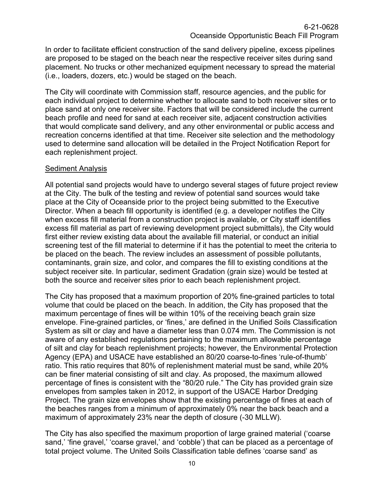In order to facilitate efficient construction of the sand delivery pipeline, excess pipelines are proposed to be staged on the beach near the respective receiver sites during sand placement. No trucks or other mechanized equipment necessary to spread the material (i.e., loaders, dozers, etc.) would be staged on the beach.

The City will coordinate with Commission staff, resource agencies, and the public for each individual project to determine whether to allocate sand to both receiver sites or to place sand at only one receiver site. Factors that will be considered include the current beach profile and need for sand at each receiver site, adjacent construction activities that would complicate sand delivery, and any other environmental or public access and recreation concerns identified at that time. Receiver site selection and the methodology used to determine sand allocation will be detailed in the Project Notification Report for each replenishment project.

#### **Sediment Analysis**

All potential sand projects would have to undergo several stages of future project review at the City. The bulk of the testing and review of potential sand sources would take place at the City of Oceanside prior to the project being submitted to the Executive Director. When a beach fill opportunity is identified (e.g. a developer notifies the City when excess fill material from a construction project is available, or City staff identifies excess fill material as part of reviewing development project submittals), the City would first either review existing data about the available fill material, or conduct an initial screening test of the fill material to determine if it has the potential to meet the criteria to be placed on the beach. The review includes an assessment of possible pollutants, contaminants, grain size, and color, and compares the fill to existing conditions at the subject receiver site. In particular, sediment Gradation (grain size) would be tested at both the source and receiver sites prior to each beach replenishment project.

The City has proposed that a maximum proportion of 20% fine-grained particles to total volume that could be placed on the beach. In addition, the City has proposed that the maximum percentage of fines will be within 10% of the receiving beach grain size envelope. Fine-grained particles, or 'fines,' are defined in the Unified Soils Classification System as silt or clay and have a diameter less than 0.074 mm. The Commission is not aware of any established regulations pertaining to the maximum allowable percentage of silt and clay for beach replenishment projects; however, the Environmental Protection Agency (EPA) and USACE have established an 80/20 coarse-to-fines 'rule-of-thumb' ratio. This ratio requires that 80% of replenishment material must be sand, while 20% can be finer material consisting of silt and clay. As proposed, the maximum allowed percentage of fines is consistent with the "80/20 rule." The City has provided grain size envelopes from samples taken in 2012, in support of the USACE Harbor Dredging Project. The grain size envelopes show that the existing percentage of fines at each of the beaches ranges from a minimum of approximately 0% near the back beach and a maximum of approximately 23% near the depth of closure (-30 MLLW).

The City has also specified the maximum proportion of large grained material ('coarse sand,' 'fine gravel,' 'coarse gravel,' and 'cobble') that can be placed as a percentage of total project volume. The United Soils Classification table defines 'coarse sand' as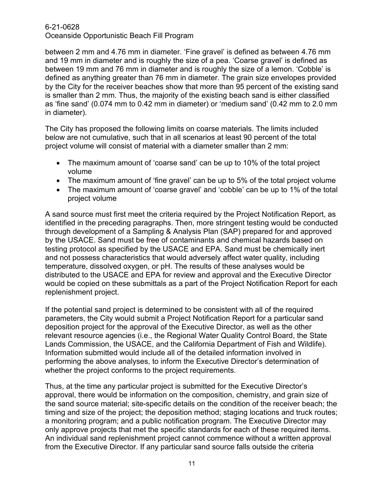between 2 mm and 4.76 mm in diameter. 'Fine gravel' is defined as between 4.76 mm and 19 mm in diameter and is roughly the size of a pea. 'Coarse gravel' is defined as between 19 mm and 76 mm in diameter and is roughly the size of a lemon. 'Cobble' is defined as anything greater than 76 mm in diameter. The grain size envelopes provided by the City for the receiver beaches show that more than 95 percent of the existing sand is smaller than 2 mm. Thus, the majority of the existing beach sand is either classified as 'fine sand' (0.074 mm to 0.42 mm in diameter) or 'medium sand' (0.42 mm to 2.0 mm in diameter).

The City has proposed the following limits on coarse materials. The limits included below are not cumulative, such that in all scenarios at least 90 percent of the total project volume will consist of material with a diameter smaller than 2 mm:

- The maximum amount of 'coarse sand' can be up to 10% of the total project volume
- The maximum amount of 'fine gravel' can be up to 5% of the total project volume
- The maximum amount of 'coarse gravel' and 'cobble' can be up to 1% of the total project volume

A sand source must first meet the criteria required by the Project Notification Report, as identified in the preceding paragraphs. Then, more stringent testing would be conducted through development of a Sampling & Analysis Plan (SAP) prepared for and approved by the USACE. Sand must be free of contaminants and chemical hazards based on testing protocol as specified by the USACE and EPA. Sand must be chemically inert and not possess characteristics that would adversely affect water quality, including temperature, dissolved oxygen, or pH. The results of these analyses would be distributed to the USACE and EPA for review and approval and the Executive Director would be copied on these submittals as a part of the Project Notification Report for each replenishment project.

If the potential sand project is determined to be consistent with all of the required parameters, the City would submit a Project Notification Report for a particular sand deposition project for the approval of the Executive Director, as well as the other relevant resource agencies (i.e., the Regional Water Quality Control Board, the State Lands Commission, the USACE, and the California Department of Fish and Wildlife). Information submitted would include all of the detailed information involved in performing the above analyses, to inform the Executive Director's determination of whether the project conforms to the project requirements.

Thus, at the time any particular project is submitted for the Executive Director's approval, there would be information on the composition, chemistry, and grain size of the sand source material; site-specific details on the condition of the receiver beach; the timing and size of the project; the deposition method; staging locations and truck routes; a monitoring program; and a public notification program. The Executive Director may only approve projects that met the specific standards for each of these required items. An individual sand replenishment project cannot commence without a written approval from the Executive Director. If any particular sand source falls outside the criteria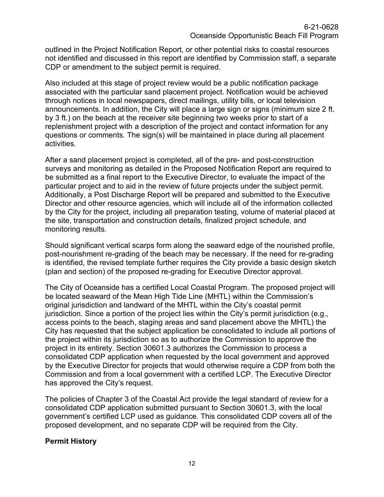outlined in the Project Notification Report, or other potential risks to coastal resources not identified and discussed in this report are identified by Commission staff, a separate CDP or amendment to the subject permit is required.

Also included at this stage of project review would be a public notification package associated with the particular sand placement project. Notification would be achieved through notices in local newspapers, direct mailings, utility bills, or local television announcements. In addition, the City will place a large sign or signs (minimum size 2 ft. by 3 ft.) on the beach at the receiver site beginning two weeks prior to start of a replenishment project with a description of the project and contact information for any questions or comments. The sign(s) will be maintained in place during all placement activities.

After a sand placement project is completed, all of the pre- and post-construction surveys and monitoring as detailed in the Proposed Notification Report are required to be submitted as a final report to the Executive Director, to evaluate the impact of the particular project and to aid in the review of future projects under the subject permit. Additionally, a Post Discharge Report will be prepared and submitted to the Executive Director and other resource agencies, which will include all of the information collected by the City for the project, including all preparation testing, volume of material placed at the site, transportation and construction details, finalized project schedule, and monitoring results.

Should significant vertical scarps form along the seaward edge of the nourished profile, post-nourishment re-grading of the beach may be necessary. If the need for re-grading is identified, the revised template further requires the City provide a basic design sketch (plan and section) of the proposed re-grading for Executive Director approval.

The City of Oceanside has a certified Local Coastal Program. The proposed project will be located seaward of the Mean High Tide Line (MHTL) within the Commission's original jurisdiction and landward of the MHTL within the City's coastal permit jurisdiction. Since a portion of the project lies within the City's permit jurisdiction (e.g., access points to the beach, staging areas and sand placement above the MHTL) the City has requested that the subject application be consolidated to include all portions of the project within its jurisdiction so as to authorize the Commission to approve the project in its entirety. Section 30601.3 authorizes the Commission to process a consolidated CDP application when requested by the local government and approved by the Executive Director for projects that would otherwise require a CDP from both the Commission and from a local government with a certified LCP. The Executive Director has approved the City's request.

The policies of Chapter 3 of the Coastal Act provide the legal standard of review for a consolidated CDP application submitted pursuant to Section 30601.3, with the local government's certified LCP used as guidance. This consolidated CDP covers all of the proposed development, and no separate CDP will be required from the City.

#### **Permit History**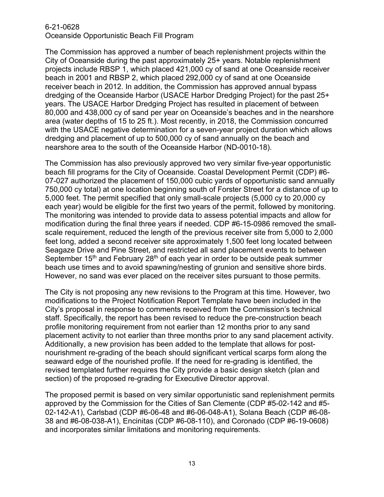The Commission has approved a number of beach replenishment projects within the City of Oceanside during the past approximately 25+ years. Notable replenishment projects include RBSP 1, which placed 421,000 cy of sand at one Oceanside receiver beach in 2001 and RBSP 2, which placed 292,000 cy of sand at one Oceanside receiver beach in 2012. In addition, the Commission has approved annual bypass dredging of the Oceanside Harbor (USACE Harbor Dredging Project) for the past 25+ years. The USACE Harbor Dredging Project has resulted in placement of between 80,000 and 438,000 cy of sand per year on Oceanside's beaches and in the nearshore area (water depths of 15 to 25 ft.). Most recently, in 2018, the Commission concurred with the USACE negative determination for a seven-year project duration which allows dredging and placement of up to 500,000 cy of sand annually on the beach and nearshore area to the south of the Oceanside Harbor (ND-0010-18).

The Commission has also previously approved two very similar five-year opportunistic beach fill programs for the City of Oceanside. Coastal Development Permit (CDP) #6- 07-027 authorized the placement of 150,000 cubic yards of opportunistic sand annually 750,000 cy total) at one location beginning south of Forster Street for a distance of up to 5,000 feet. The permit specified that only small-scale projects (5,000 cy to 20,000 cy each year) would be eligible for the first two years of the permit, followed by monitoring. The monitoring was intended to provide data to assess potential impacts and allow for modification during the final three years if needed. CDP #6-15-0986 removed the smallscale requirement, reduced the length of the previous receiver site from 5,000 to 2,000 feet long, added a second receiver site approximately 1,500 feet long located between Seagaze Drive and Pine Street, and restricted all sand placement events to between September  $15<sup>th</sup>$  and February 28<sup>th</sup> of each year in order to be outside peak summer beach use times and to avoid spawning/nesting of grunion and sensitive shore birds. However, no sand was ever placed on the receiver sites pursuant to those permits.

The City is not proposing any new revisions to the Program at this time. However, two modifications to the Project Notification Report Template have been included in the City's proposal in response to comments received from the Commission's technical staff. Specifically, the report has been revised to reduce the pre-construction beach profile monitoring requirement from not earlier than 12 months prior to any sand placement activity to not earlier than three months prior to any sand placement activity. Additionally, a new provision has been added to the template that allows for postnourishment re-grading of the beach should significant vertical scarps form along the seaward edge of the nourished profile. If the need for re-grading is identified, the revised templated further requires the City provide a basic design sketch (plan and section) of the proposed re-grading for Executive Director approval.

The proposed permit is based on very similar opportunistic sand replenishment permits approved by the Commission for the Cities of San Clemente (CDP #5-02-142 and #5- 02-142-A1), Carlsbad (CDP #6-06-48 and #6-06-048-A1), Solana Beach (CDP #6-08- 38 and #6-08-038-A1), Encinitas (CDP #6-08-110), and Coronado (CDP #6-19-0608) and incorporates similar limitations and monitoring requirements.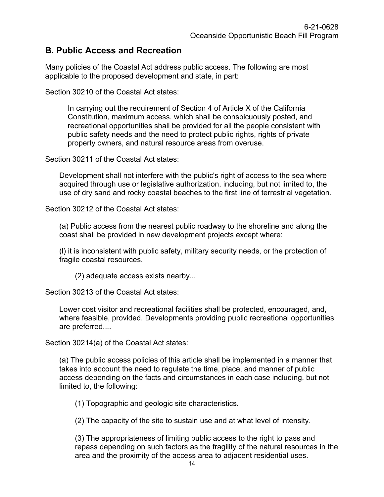### <span id="page-13-0"></span>**B. Public Access and Recreation**

Many policies of the Coastal Act address public access. The following are most applicable to the proposed development and state, in part:

Section 30210 of the Coastal Act states:

In carrying out the requirement of Section 4 of Article X of the California Constitution, maximum access, which shall be conspicuously posted, and recreational opportunities shall be provided for all the people consistent with public safety needs and the need to protect public rights, rights of private property owners, and natural resource areas from overuse.

Section 30211 of the Coastal Act states:

Development shall not interfere with the public's right of access to the sea where acquired through use or legislative authorization, including, but not limited to, the use of dry sand and rocky coastal beaches to the first line of terrestrial vegetation.

Section 30212 of the Coastal Act states:

(a) Public access from the nearest public roadway to the shoreline and along the coast shall be provided in new development projects except where:

(l) it is inconsistent with public safety, military security needs, or the protection of fragile coastal resources,

(2) adequate access exists nearby...

Section 30213 of the Coastal Act states:

Lower cost visitor and recreational facilities shall be protected, encouraged, and, where feasible, provided. Developments providing public recreational opportunities are preferred....

Section 30214(a) of the Coastal Act states:

(a) The public access policies of this article shall be implemented in a manner that takes into account the need to regulate the time, place, and manner of public access depending on the facts and circumstances in each case including, but not limited to, the following:

(1) Topographic and geologic site characteristics.

(2) The capacity of the site to sustain use and at what level of intensity.

(3) The appropriateness of limiting public access to the right to pass and repass depending on such factors as the fragility of the natural resources in the area and the proximity of the access area to adjacent residential uses.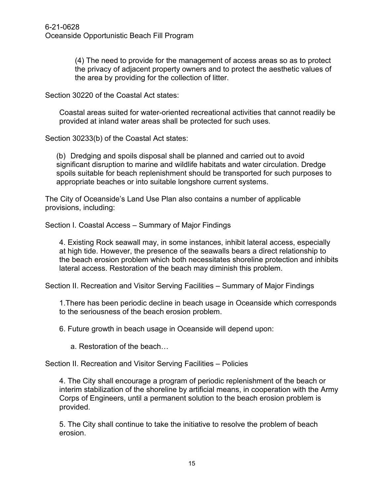(4) The need to provide for the management of access areas so as to protect the privacy of adjacent property owners and to protect the aesthetic values of the area by providing for the collection of litter.

Section 30220 of the Coastal Act states:

Coastal areas suited for water-oriented recreational activities that cannot readily be provided at inland water areas shall be protected for such uses.

Section 30233(b) of the Coastal Act states:

(b) Dredging and spoils disposal shall be planned and carried out to avoid significant disruption to marine and wildlife habitats and water circulation. Dredge spoils suitable for beach replenishment should be transported for such purposes to appropriate beaches or into suitable longshore current systems.

The City of Oceanside's Land Use Plan also contains a number of applicable provisions, including:

Section I. Coastal Access – Summary of Major Findings

4. Existing Rock seawall may, in some instances, inhibit lateral access, especially at high tide. However, the presence of the seawalls bears a direct relationship to the beach erosion problem which both necessitates shoreline protection and inhibits lateral access. Restoration of the beach may diminish this problem.

Section II. Recreation and Visitor Serving Facilities – Summary of Major Findings

1.There has been periodic decline in beach usage in Oceanside which corresponds to the seriousness of the beach erosion problem.

6. Future growth in beach usage in Oceanside will depend upon:

a. Restoration of the beach…

Section II. Recreation and Visitor Serving Facilities – Policies

4. The City shall encourage a program of periodic replenishment of the beach or interim stabilization of the shoreline by artificial means, in cooperation with the Army Corps of Engineers, until a permanent solution to the beach erosion problem is provided.

5. The City shall continue to take the initiative to resolve the problem of beach erosion.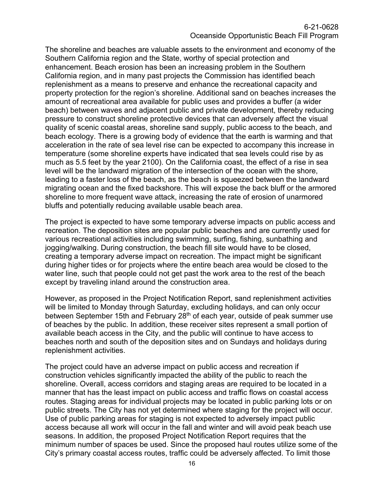The shoreline and beaches are valuable assets to the environment and economy of the Southern California region and the State, worthy of special protection and enhancement. Beach erosion has been an increasing problem in the Southern California region, and in many past projects the Commission has identified beach replenishment as a means to preserve and enhance the recreational capacity and property protection for the region's shoreline. Additional sand on beaches increases the amount of recreational area available for public uses and provides a buffer (a wider beach) between waves and adjacent public and private development, thereby reducing pressure to construct shoreline protective devices that can adversely affect the visual quality of scenic coastal areas, shoreline sand supply, public access to the beach, and beach ecology. There is a growing body of evidence that the earth is warming and that acceleration in the rate of sea level rise can be expected to accompany this increase in temperature (some shoreline experts have indicated that sea levels could rise by as much as 5.5 feet by the year 2100). On the California coast, the effect of a rise in sea level will be the landward migration of the intersection of the ocean with the shore, leading to a faster loss of the beach, as the beach is squeezed between the landward migrating ocean and the fixed backshore. This will expose the back bluff or the armored shoreline to more frequent wave attack, increasing the rate of erosion of unarmored bluffs and potentially reducing available usable beach area.

The project is expected to have some temporary adverse impacts on public access and recreation. The deposition sites are popular public beaches and are currently used for various recreational activities including swimming, surfing, fishing, sunbathing and jogging/walking. During construction, the beach fill site would have to be closed, creating a temporary adverse impact on recreation. The impact might be significant during higher tides or for projects where the entire beach area would be closed to the water line, such that people could not get past the work area to the rest of the beach except by traveling inland around the construction area.

However, as proposed in the Project Notification Report, sand replenishment activities will be limited to Monday through Saturday, excluding holidays, and can only occur between September 15th and February 28<sup>th</sup> of each year, outside of peak summer use of beaches by the public. In addition, these receiver sites represent a small portion of available beach access in the City, and the public will continue to have access to beaches north and south of the deposition sites and on Sundays and holidays during replenishment activities.

The project could have an adverse impact on public access and recreation if construction vehicles significantly impacted the ability of the public to reach the shoreline. Overall, access corridors and staging areas are required to be located in a manner that has the least impact on public access and traffic flows on coastal access routes. Staging areas for individual projects may be located in public parking lots or on public streets. The City has not yet determined where staging for the project will occur. Use of public parking areas for staging is not expected to adversely impact public access because all work will occur in the fall and winter and will avoid peak beach use seasons. In addition, the proposed Project Notification Report requires that the minimum number of spaces be used. Since the proposed haul routes utilize some of the City's primary coastal access routes, traffic could be adversely affected. To limit those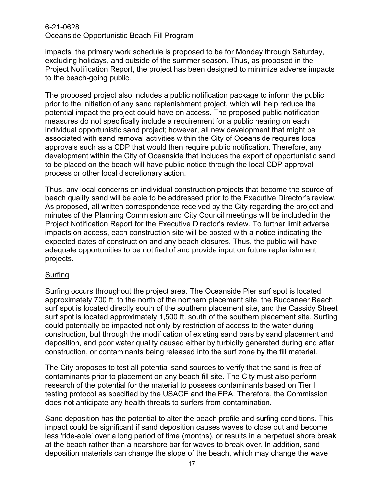impacts, the primary work schedule is proposed to be for Monday through Saturday, excluding holidays, and outside of the summer season. Thus, as proposed in the Project Notification Report, the project has been designed to minimize adverse impacts to the beach-going public.

The proposed project also includes a public notification package to inform the public prior to the initiation of any sand replenishment project, which will help reduce the potential impact the project could have on access. The proposed public notification measures do not specifically include a requirement for a public hearing on each individual opportunistic sand project; however, all new development that might be associated with sand removal activities within the City of Oceanside requires local approvals such as a CDP that would then require public notification. Therefore, any development within the City of Oceanside that includes the export of opportunistic sand to be placed on the beach will have public notice through the local CDP approval process or other local discretionary action.

Thus, any local concerns on individual construction projects that become the source of beach quality sand will be able to be addressed prior to the Executive Director's review. As proposed, all written correspondence received by the City regarding the project and minutes of the Planning Commission and City Council meetings will be included in the Project Notification Report for the Executive Director's review. To further limit adverse impacts on access, each construction site will be posted with a notice indicating the expected dates of construction and any beach closures. Thus, the public will have adequate opportunities to be notified of and provide input on future replenishment projects.

#### Surfing

Surfing occurs throughout the project area. The Oceanside Pier surf spot is located approximately 700 ft. to the north of the northern placement site, the Buccaneer Beach surf spot is located directly south of the southern placement site, and the Cassidy Street surf spot is located approximately 1,500 ft. south of the southern placement site. Surfing could potentially be impacted not only by restriction of access to the water during construction, but through the modification of existing sand bars by sand placement and deposition, and poor water quality caused either by turbidity generated during and after construction, or contaminants being released into the surf zone by the fill material.

The City proposes to test all potential sand sources to verify that the sand is free of contaminants prior to placement on any beach fill site. The City must also perform research of the potential for the material to possess contaminants based on Tier I testing protocol as specified by the USACE and the EPA. Therefore, the Commission does not anticipate any health threats to surfers from contamination.

Sand deposition has the potential to alter the beach profile and surfing conditions. This impact could be significant if sand deposition causes waves to close out and become less 'ride-able' over a long period of time (months), or results in a perpetual shore break at the beach rather than a nearshore bar for waves to break over. In addition, sand deposition materials can change the slope of the beach, which may change the wave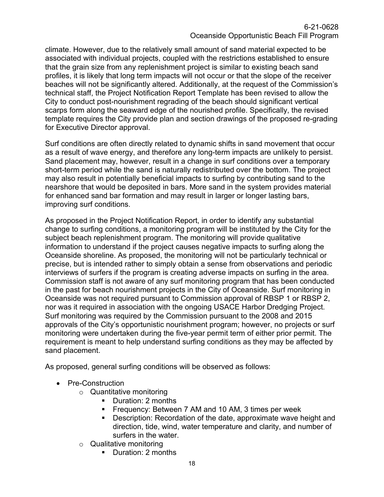climate. However, due to the relatively small amount of sand material expected to be associated with individual projects, coupled with the restrictions established to ensure that the grain size from any replenishment project is similar to existing beach sand profiles, it is likely that long term impacts will not occur or that the slope of the receiver beaches will not be significantly altered. Additionally, at the request of the Commission's technical staff, the Project Notification Report Template has been revised to allow the City to conduct post-nourishment regrading of the beach should significant vertical scarps form along the seaward edge of the nourished profile. Specifically, the revised template requires the City provide plan and section drawings of the proposed re-grading for Executive Director approval.

Surf conditions are often directly related to dynamic shifts in sand movement that occur as a result of wave energy, and therefore any long-term impacts are unlikely to persist. Sand placement may, however, result in a change in surf conditions over a temporary short-term period while the sand is naturally redistributed over the bottom. The project may also result in potentially beneficial impacts to surfing by contributing sand to the nearshore that would be deposited in bars. More sand in the system provides material for enhanced sand bar formation and may result in larger or longer lasting bars, improving surf conditions.

As proposed in the Project Notification Report, in order to identify any substantial change to surfing conditions, a monitoring program will be instituted by the City for the subject beach replenishment program. The monitoring will provide qualitative information to understand if the project causes negative impacts to surfing along the Oceanside shoreline. As proposed, the monitoring will not be particularly technical or precise, but is intended rather to simply obtain a sense from observations and periodic interviews of surfers if the program is creating adverse impacts on surfing in the area. Commission staff is not aware of any surf monitoring program that has been conducted in the past for beach nourishment projects in the City of Oceanside. Surf monitoring in Oceanside was not required pursuant to Commission approval of RBSP 1 or RBSP 2, nor was it required in association with the ongoing USACE Harbor Dredging Project. Surf monitoring was required by the Commission pursuant to the 2008 and 2015 approvals of the City's opportunistic nourishment program; however, no projects or surf monitoring were undertaken during the five-year permit term of either prior permit. The requirement is meant to help understand surfing conditions as they may be affected by sand placement.

As proposed, general surfing conditions will be observed as follows:

- Pre-Construction
	- o Quantitative monitoring
		- **Duration: 2 months**
		- **Figuency: Between 7 AM and 10 AM, 3 times per week**
		- Description: Recordation of the date, approximate wave height and direction, tide, wind, water temperature and clarity, and number of surfers in the water.
	- o Qualitative monitoring
		- Duration: 2 months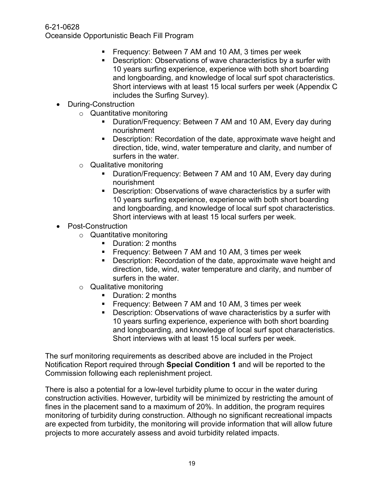- Frequency: Between 7 AM and 10 AM, 3 times per week
- **Description: Observations of wave characteristics by a surfer with** 10 years surfing experience, experience with both short boarding and longboarding, and knowledge of local surf spot characteristics. Short interviews with at least 15 local surfers per week (Appendix C includes the Surfing Survey).
- During-Construction
	- o Quantitative monitoring
		- **Duration/Frequency: Between 7 AM and 10 AM, Every day during** nourishment
		- Description: Recordation of the date, approximate wave height and direction, tide, wind, water temperature and clarity, and number of surfers in the water.
	- $\circ$  Qualitative monitoring
		- Duration/Frequency: Between 7 AM and 10 AM, Every day during nourishment
		- **Description: Observations of wave characteristics by a surfer with** 10 years surfing experience, experience with both short boarding and longboarding, and knowledge of local surf spot characteristics. Short interviews with at least 15 local surfers per week.
- Post-Construction
	- o Quantitative monitoring
		- Duration: 2 months
		- **Figure 1.5 Frequency: Between 7 AM and 10 AM, 3 times per week**
		- Description: Recordation of the date, approximate wave height and direction, tide, wind, water temperature and clarity, and number of surfers in the water.
	- o Qualitative monitoring
		- **Duration: 2 months**
		- **Figuency: Between 7 AM and 10 AM, 3 times per week**
		- Description: Observations of wave characteristics by a surfer with 10 years surfing experience, experience with both short boarding and longboarding, and knowledge of local surf spot characteristics. Short interviews with at least 15 local surfers per week.

The surf monitoring requirements as described above are included in the Project Notification Report required through **Special Condition 1** and will be reported to the Commission following each replenishment project.

There is also a potential for a low-level turbidity plume to occur in the water during construction activities. However, turbidity will be minimized by restricting the amount of fines in the placement sand to a maximum of 20%. In addition, the program requires monitoring of turbidity during construction. Although no significant recreational impacts are expected from turbidity, the monitoring will provide information that will allow future projects to more accurately assess and avoid turbidity related impacts.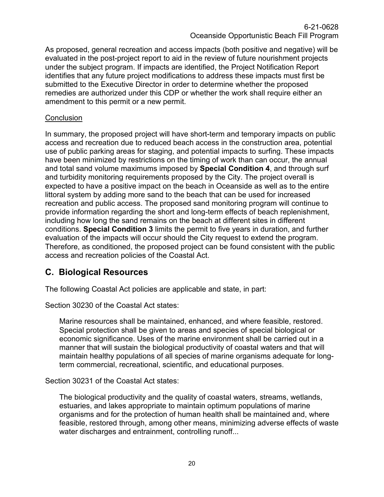As proposed, general recreation and access impacts (both positive and negative) will be evaluated in the post-project report to aid in the review of future nourishment projects under the subject program. If impacts are identified, the Project Notification Report identifies that any future project modifications to address these impacts must first be submitted to the Executive Director in order to determine whether the proposed remedies are authorized under this CDP or whether the work shall require either an amendment to this permit or a new permit.

#### **Conclusion**

In summary, the proposed project will have short-term and temporary impacts on public access and recreation due to reduced beach access in the construction area, potential use of public parking areas for staging, and potential impacts to surfing. These impacts have been minimized by restrictions on the timing of work than can occur, the annual and total sand volume maximums imposed by **Special Condition 4**, and through surf and turbidity monitoring requirements proposed by the City. The project overall is expected to have a positive impact on the beach in Oceanside as well as to the entire littoral system by adding more sand to the beach that can be used for increased recreation and public access. The proposed sand monitoring program will continue to provide information regarding the short and long-term effects of beach replenishment, including how long the sand remains on the beach at different sites in different conditions. **Special Condition 3** limits the permit to five years in duration, and further evaluation of the impacts will occur should the City request to extend the program. Therefore, as conditioned, the proposed project can be found consistent with the public access and recreation policies of the Coastal Act.

## <span id="page-19-0"></span>**C. Biological Resources**

The following Coastal Act policies are applicable and state, in part:

Section 30230 of the Coastal Act states:

Marine resources shall be maintained, enhanced, and where feasible, restored. Special protection shall be given to areas and species of special biological or economic significance. Uses of the marine environment shall be carried out in a manner that will sustain the biological productivity of coastal waters and that will maintain healthy populations of all species of marine organisms adequate for longterm commercial, recreational, scientific, and educational purposes.

Section 30231 of the Coastal Act states:

The biological productivity and the quality of coastal waters, streams, wetlands, estuaries, and lakes appropriate to maintain optimum populations of marine organisms and for the protection of human health shall be maintained and, where feasible, restored through, among other means, minimizing adverse effects of waste water discharges and entrainment, controlling runoff...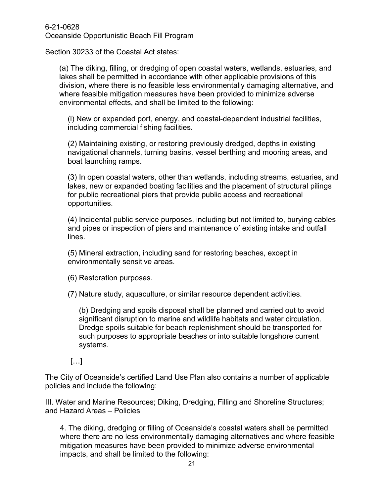Section 30233 of the Coastal Act states:

(a) The diking, filling, or dredging of open coastal waters, wetlands, estuaries, and lakes shall be permitted in accordance with other applicable provisions of this division, where there is no feasible less environmentally damaging alternative, and where feasible mitigation measures have been provided to minimize adverse environmental effects, and shall be limited to the following:

(l) New or expanded port, energy, and coastal-dependent industrial facilities, including commercial fishing facilities.

(2) Maintaining existing, or restoring previously dredged, depths in existing navigational channels, turning basins, vessel berthing and mooring areas, and boat launching ramps.

(3) In open coastal waters, other than wetlands, including streams, estuaries, and lakes, new or expanded boating facilities and the placement of structural pilings for public recreational piers that provide public access and recreational opportunities.

(4) Incidental public service purposes, including but not limited to, burying cables and pipes or inspection of piers and maintenance of existing intake and outfall lines.

(5) Mineral extraction, including sand for restoring beaches, except in environmentally sensitive areas.

(6) Restoration purposes.

(7) Nature study, aquaculture, or similar resource dependent activities.

(b) Dredging and spoils disposal shall be planned and carried out to avoid significant disruption to marine and wildlife habitats and water circulation. Dredge spoils suitable for beach replenishment should be transported for such purposes to appropriate beaches or into suitable longshore current systems.

[…]

The City of Oceanside's certified Land Use Plan also contains a number of applicable policies and include the following:

III. Water and Marine Resources; Diking, Dredging, Filling and Shoreline Structures; and Hazard Areas – Policies

4. The diking, dredging or filling of Oceanside's coastal waters shall be permitted where there are no less environmentally damaging alternatives and where feasible mitigation measures have been provided to minimize adverse environmental impacts, and shall be limited to the following: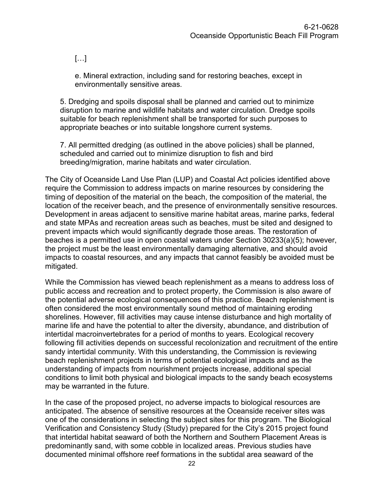$[\ldots]$ 

e. Mineral extraction, including sand for restoring beaches, except in environmentally sensitive areas.

5. Dredging and spoils disposal shall be planned and carried out to minimize disruption to marine and wildlife habitats and water circulation. Dredge spoils suitable for beach replenishment shall be transported for such purposes to appropriate beaches or into suitable longshore current systems.

7. All permitted dredging (as outlined in the above policies) shall be planned, scheduled and carried out to minimize disruption to fish and bird breeding/migration, marine habitats and water circulation.

The City of Oceanside Land Use Plan (LUP) and Coastal Act policies identified above require the Commission to address impacts on marine resources by considering the timing of deposition of the material on the beach, the composition of the material, the location of the receiver beach, and the presence of environmentally sensitive resources. Development in areas adjacent to sensitive marine habitat areas, marine parks, federal and state MPAs and recreation areas such as beaches, must be sited and designed to prevent impacts which would significantly degrade those areas. The restoration of beaches is a permitted use in open coastal waters under Section 30233(a)(5); however, the project must be the least environmentally damaging alternative, and should avoid impacts to coastal resources, and any impacts that cannot feasibly be avoided must be mitigated.

While the Commission has viewed beach replenishment as a means to address loss of public access and recreation and to protect property, the Commission is also aware of the potential adverse ecological consequences of this practice. Beach replenishment is often considered the most environmentally sound method of maintaining eroding shorelines. However, fill activities may cause intense disturbance and high mortality of marine life and have the potential to alter the diversity, abundance, and distribution of intertidal macroinvertebrates for a period of months to years. Ecological recovery following fill activities depends on successful recolonization and recruitment of the entire sandy intertidal community. With this understanding, the Commission is reviewing beach replenishment projects in terms of potential ecological impacts and as the understanding of impacts from nourishment projects increase, additional special conditions to limit both physical and biological impacts to the sandy beach ecosystems may be warranted in the future.

In the case of the proposed project, no adverse impacts to biological resources are anticipated. The absence of sensitive resources at the Oceanside receiver sites was one of the considerations in selecting the subject sites for this program. The Biological Verification and Consistency Study (Study) prepared for the City's 2015 project found that intertidal habitat seaward of both the Northern and Southern Placement Areas is predominantly sand, with some cobble in localized areas. Previous studies have documented minimal offshore reef formations in the subtidal area seaward of the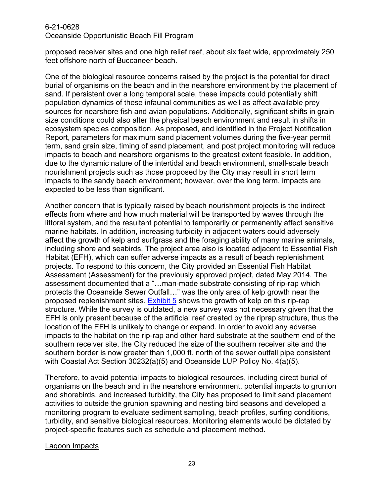proposed receiver sites and one high relief reef, about six feet wide, approximately 250 feet offshore north of Buccaneer beach.

One of the biological resource concerns raised by the project is the potential for direct burial of organisms on the beach and in the nearshore environment by the placement of sand. If persistent over a long temporal scale, these impacts could potentially shift population dynamics of these infaunal communities as well as affect available prey sources for nearshore fish and avian populations. Additionally, significant shifts in grain size conditions could also alter the physical beach environment and result in shifts in ecosystem species composition. As proposed, and identified in the Project Notification Report, parameters for maximum sand placement volumes during the five-year permit term, sand grain size, timing of sand placement, and post project monitoring will reduce impacts to beach and nearshore organisms to the greatest extent feasible. In addition, due to the dynamic nature of the intertidal and beach environment, small-scale beach nourishment projects such as those proposed by the City may result in short term impacts to the sandy beach environment; however, over the long term, impacts are expected to be less than significant.

Another concern that is typically raised by beach nourishment projects is the indirect effects from where and how much material will be transported by waves through the littoral system, and the resultant potential to temporarily or permanently affect sensitive marine habitats. In addition, increasing turbidity in adjacent waters could adversely affect the growth of kelp and surfgrass and the foraging ability of many marine animals, including shore and seabirds. The project area also is located adjacent to Essential Fish Habitat (EFH), which can suffer adverse impacts as a result of beach replenishment projects. To respond to this concern, the City provided an Essential Fish Habitat Assessment (Assessment) for the previously approved project, dated May 2014. The assessment documented that a "…man-made substrate consisting of rip-rap which protects the Oceanside Sewer Outfall…" was the only area of kelp growth near the proposed replenishment sites. [Exhibit 5](https://documents.coastal.ca.gov/reports/2022/4/F11b/F11b-4-2022-exhibits.pdf) shows the growth of kelp on this rip-rap structure. While the survey is outdated, a new survey was not necessary given that the EFH is only present because of the artificial reef created by the riprap structure, thus the location of the EFH is unlikely to change or expand. In order to avoid any adverse impacts to the habitat on the rip-rap and other hard substrate at the southern end of the southern receiver site, the City reduced the size of the southern receiver site and the southern border is now greater than 1,000 ft. north of the sewer outfall pipe consistent with Coastal Act Section 30232(a)(5) and Oceanside LUP Policy No. 4(a)(5).

Therefore, to avoid potential impacts to biological resources, including direct burial of organisms on the beach and in the nearshore environment, potential impacts to grunion and shorebirds, and increased turbidity, the City has proposed to limit sand placement activities to outside the grunion spawning and nesting bird seasons and developed a monitoring program to evaluate sediment sampling, beach profiles, surfing conditions, turbidity, and sensitive biological resources. Monitoring elements would be dictated by project-specific features such as schedule and placement method.

#### Lagoon Impacts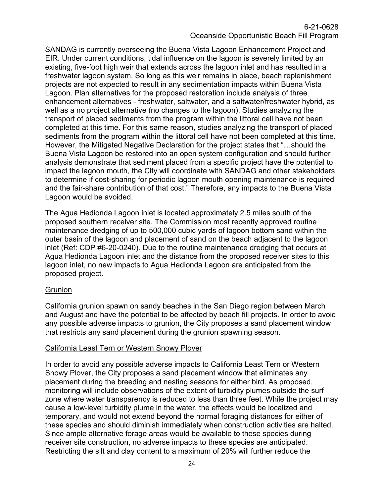SANDAG is currently overseeing the Buena Vista Lagoon Enhancement Project and EIR. Under current conditions, tidal influence on the lagoon is severely limited by an existing, five-foot high weir that extends across the lagoon inlet and has resulted in a freshwater lagoon system. So long as this weir remains in place, beach replenishment projects are not expected to result in any sedimentation impacts within Buena Vista Lagoon. Plan alternatives for the proposed restoration include analysis of three enhancement alternatives - freshwater, saltwater, and a saltwater/freshwater hybrid, as well as a no project alternative (no changes to the lagoon). Studies analyzing the transport of placed sediments from the program within the littoral cell have not been completed at this time. For this same reason, studies analyzing the transport of placed sediments from the program within the littoral cell have not been completed at this time. However, the Mitigated Negative Declaration for the project states that "…should the Buena Vista Lagoon be restored into an open system configuration and should further analysis demonstrate that sediment placed from a specific project have the potential to impact the lagoon mouth, the City will coordinate with SANDAG and other stakeholders to determine if cost-sharing for periodic lagoon mouth opening maintenance is required and the fair-share contribution of that cost." Therefore, any impacts to the Buena Vista Lagoon would be avoided.

The Agua Hedionda Lagoon inlet is located approximately 2.5 miles south of the proposed southern receiver site. The Commission most recently approved routine maintenance dredging of up to 500,000 cubic yards of lagoon bottom sand within the outer basin of the lagoon and placement of sand on the beach adjacent to the lagoon inlet (Ref: CDP #6-20-0240). Due to the routine maintenance dredging that occurs at Agua Hedionda Lagoon inlet and the distance from the proposed receiver sites to this lagoon inlet, no new impacts to Agua Hedionda Lagoon are anticipated from the proposed project.

#### **Grunion**

California grunion spawn on sandy beaches in the San Diego region between March and August and have the potential to be affected by beach fill projects. In order to avoid any possible adverse impacts to grunion, the City proposes a sand placement window that restricts any sand placement during the grunion spawning season.

#### California Least Tern or Western Snowy Plover

In order to avoid any possible adverse impacts to California Least Tern or Western Snowy Plover, the City proposes a sand placement window that eliminates any placement during the breeding and nesting seasons for either bird. As proposed, monitoring will include observations of the extent of turbidity plumes outside the surf zone where water transparency is reduced to less than three feet. While the project may cause a low-level turbidity plume in the water, the effects would be localized and temporary, and would not extend beyond the normal foraging distances for either of these species and should diminish immediately when construction activities are halted. Since ample alternative forage areas would be available to these species during receiver site construction, no adverse impacts to these species are anticipated. Restricting the silt and clay content to a maximum of 20% will further reduce the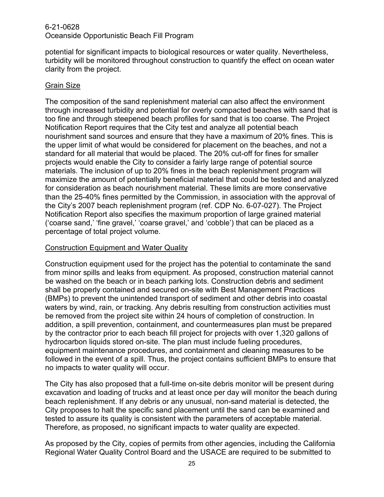potential for significant impacts to biological resources or water quality. Nevertheless, turbidity will be monitored throughout construction to quantify the effect on ocean water clarity from the project.

#### Grain Size

The composition of the sand replenishment material can also affect the environment through increased turbidity and potential for overly compacted beaches with sand that is too fine and through steepened beach profiles for sand that is too coarse. The Project Notification Report requires that the City test and analyze all potential beach nourishment sand sources and ensure that they have a maximum of 20% fines. This is the upper limit of what would be considered for placement on the beaches, and not a standard for all material that would be placed. The 20% cut-off for fines for smaller projects would enable the City to consider a fairly large range of potential source materials. The inclusion of up to 20% fines in the beach replenishment program will maximize the amount of potentially beneficial material that could be tested and analyzed for consideration as beach nourishment material. These limits are more conservative than the 25-40% fines permitted by the Commission, in association with the approval of the City's 2007 beach replenishment program (ref. CDP No. 6-07-027). The Project Notification Report also specifies the maximum proportion of large grained material ('coarse sand,' 'fine gravel,' 'coarse gravel,' and 'cobble') that can be placed as a percentage of total project volume.

#### Construction Equipment and Water Quality

Construction equipment used for the project has the potential to contaminate the sand from minor spills and leaks from equipment. As proposed, construction material cannot be washed on the beach or in beach parking lots. Construction debris and sediment shall be properly contained and secured on-site with Best Management Practices (BMPs) to prevent the unintended transport of sediment and other debris into coastal waters by wind, rain, or tracking. Any debris resulting from construction activities must be removed from the project site within 24 hours of completion of construction. In addition, a spill prevention, containment, and countermeasures plan must be prepared by the contractor prior to each beach fill project for projects with over 1,320 gallons of hydrocarbon liquids stored on-site. The plan must include fueling procedures, equipment maintenance procedures, and containment and cleaning measures to be followed in the event of a spill. Thus, the project contains sufficient BMPs to ensure that no impacts to water quality will occur.

The City has also proposed that a full-time on-site debris monitor will be present during excavation and loading of trucks and at least once per day will monitor the beach during beach replenishment. If any debris or any unusual, non-sand material is detected, the City proposes to halt the specific sand placement until the sand can be examined and tested to assure its quality is consistent with the parameters of acceptable material. Therefore, as proposed, no significant impacts to water quality are expected.

As proposed by the City, copies of permits from other agencies, including the California Regional Water Quality Control Board and the USACE are required to be submitted to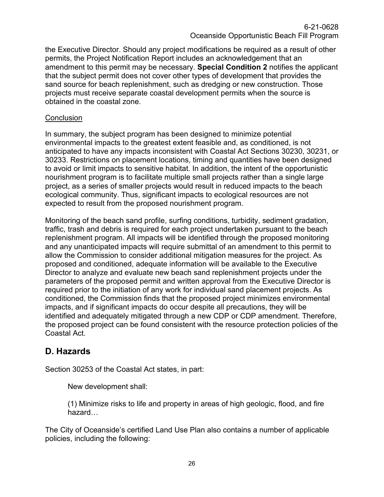the Executive Director. Should any project modifications be required as a result of other permits, the Project Notification Report includes an acknowledgement that an amendment to this permit may be necessary. **Special Condition 2** notifies the applicant that the subject permit does not cover other types of development that provides the sand source for beach replenishment, such as dredging or new construction. Those projects must receive separate coastal development permits when the source is obtained in the coastal zone.

#### **Conclusion**

In summary, the subject program has been designed to minimize potential environmental impacts to the greatest extent feasible and, as conditioned, is not anticipated to have any impacts inconsistent with Coastal Act Sections 30230, 30231, or 30233. Restrictions on placement locations, timing and quantities have been designed to avoid or limit impacts to sensitive habitat. In addition, the intent of the opportunistic nourishment program is to facilitate multiple small projects rather than a single large project, as a series of smaller projects would result in reduced impacts to the beach ecological community. Thus, significant impacts to ecological resources are not expected to result from the proposed nourishment program.

Monitoring of the beach sand profile, surfing conditions, turbidity, sediment gradation, traffic, trash and debris is required for each project undertaken pursuant to the beach replenishment program. All impacts will be identified through the proposed monitoring and any unanticipated impacts will require submittal of an amendment to this permit to allow the Commission to consider additional mitigation measures for the project. As proposed and conditioned, adequate information will be available to the Executive Director to analyze and evaluate new beach sand replenishment projects under the parameters of the proposed permit and written approval from the Executive Director is required prior to the initiation of any work for individual sand placement projects. As conditioned, the Commission finds that the proposed project minimizes environmental impacts, and if significant impacts do occur despite all precautions, they will be identified and adequately mitigated through a new CDP or CDP amendment. Therefore, the proposed project can be found consistent with the resource protection policies of the Coastal Act.

#### <span id="page-25-0"></span>**D. Hazards**

Section 30253 of the Coastal Act states, in part:

New development shall:

(1) Minimize risks to life and property in areas of high geologic, flood, and fire hazard…

The City of Oceanside's certified Land Use Plan also contains a number of applicable policies, including the following: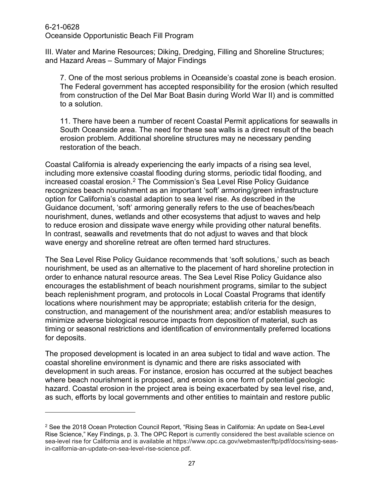III. Water and Marine Resources; Diking, Dredging, Filling and Shoreline Structures; and Hazard Areas – Summary of Major Findings

7. One of the most serious problems in Oceanside's coastal zone is beach erosion. The Federal government has accepted responsibility for the erosion (which resulted from construction of the Del Mar Boat Basin during World War II) and is committed to a solution.

11. There have been a number of recent Coastal Permit applications for seawalls in South Oceanside area. The need for these sea walls is a direct result of the beach erosion problem. Additional shoreline structures may ne necessary pending restoration of the beach.

Coastal California is already experiencing the early impacts of a rising sea level, including more extensive coastal flooding during storms, periodic tidal flooding, and increased coastal erosion. [2](#page-26-0) The Commission's Sea Level Rise Policy Guidance recognizes beach nourishment as an important 'soft' armoring/green infrastructure option for California's coastal adaption to sea level rise. As described in the Guidance document, 'soft' armoring generally refers to the use of beaches/beach nourishment, dunes, wetlands and other ecosystems that adjust to waves and help to reduce erosion and dissipate wave energy while providing other natural benefits. In contrast, seawalls and revetments that do not adjust to waves and that block wave energy and shoreline retreat are often termed hard structures.

The Sea Level Rise Policy Guidance recommends that 'soft solutions,' such as beach nourishment, be used as an alternative to the placement of hard shoreline protection in order to enhance natural resource areas. The Sea Level Rise Policy Guidance also encourages the establishment of beach nourishment programs, similar to the subject beach replenishment program, and protocols in Local Coastal Programs that identify locations where nourishment may be appropriate; establish criteria for the design, construction, and management of the nourishment area; and/or establish measures to minimize adverse biological resource impacts from deposition of material, such as timing or seasonal restrictions and identification of environmentally preferred locations for deposits.

The proposed development is located in an area subject to tidal and wave action. The coastal shoreline environment is dynamic and there are risks associated with development in such areas. For instance, erosion has occurred at the subject beaches where beach nourishment is proposed, and erosion is one form of potential geologic hazard. Coastal erosion in the project area is being exacerbated by sea level rise, and, as such, efforts by local governments and other entities to maintain and restore public

<span id="page-26-0"></span><sup>2</sup> See the 2018 Ocean Protection Council Report, "Rising Seas in California: An update on Sea-Level Rise Science," Key Findings, p. 3. The OPC Report is currently considered the best available science on sea-level rise for California and is available at https://www.opc.ca.gov/webmaster/ftp/pdf/docs/rising-seasin-california-an-update-on-sea-level-rise-science.pdf.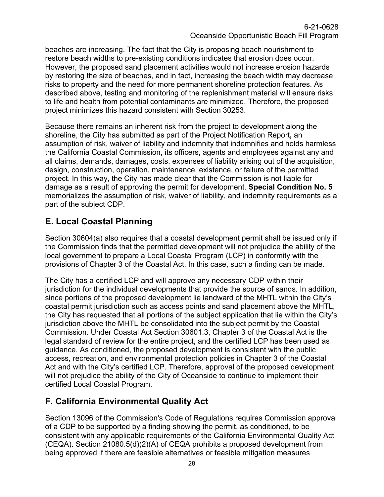beaches are increasing. The fact that the City is proposing beach nourishment to restore beach widths to pre-existing conditions indicates that erosion does occur. However, the proposed sand placement activities would not increase erosion hazards by restoring the size of beaches, and in fact, increasing the beach width may decrease risks to property and the need for more permanent shoreline protection features. As described above, testing and monitoring of the replenishment material will ensure risks to life and health from potential contaminants are minimized. Therefore, the proposed project minimizes this hazard consistent with Section 30253.

Because there remains an inherent risk from the project to development along the shoreline, the City has submitted as part of the Project Notification Report**,** an assumption of risk, waiver of liability and indemnity that indemnifies and holds harmless the California Coastal Commission, its officers, agents and employees against any and all claims, demands, damages, costs, expenses of liability arising out of the acquisition, design, construction, operation, maintenance, existence, or failure of the permitted project. In this way, the City has made clear that the Commission is not liable for damage as a result of approving the permit for development. **Special Condition No. 5** memorializes the assumption of risk, waiver of liability, and indemnity requirements as a part of the subject CDP.

## <span id="page-27-0"></span>**E. Local Coastal Planning**

Section 30604(a) also requires that a coastal development permit shall be issued only if the Commission finds that the permitted development will not prejudice the ability of the local government to prepare a Local Coastal Program (LCP) in conformity with the provisions of Chapter 3 of the Coastal Act. In this case, such a finding can be made.

The City has a certified LCP and will approve any necessary CDP within their jurisdiction for the individual developments that provide the source of sands. In addition, since portions of the proposed development lie landward of the MHTL within the City's coastal permit jurisdiction such as access points and sand placement above the MHTL, the City has requested that all portions of the subject application that lie within the City's jurisdiction above the MHTL be consolidated into the subject permit by the Coastal Commission. Under Coastal Act Section 30601.3, Chapter 3 of the Coastal Act is the legal standard of review for the entire project, and the certified LCP has been used as guidance. As conditioned, the proposed development is consistent with the public access, recreation, and environmental protection policies in Chapter 3 of the Coastal Act and with the City's certified LCP. Therefore, approval of the proposed development will not prejudice the ability of the City of Oceanside to continue to implement their certified Local Coastal Program.

## <span id="page-27-1"></span>**F. California Environmental Quality Act**

Section 13096 of the Commission's Code of Regulations requires Commission approval of a CDP to be supported by a finding showing the permit, as conditioned, to be consistent with any applicable requirements of the California Environmental Quality Act (CEQA). Section 21080.5(d)(2)(A) of CEQA prohibits a proposed development from being approved if there are feasible alternatives or feasible mitigation measures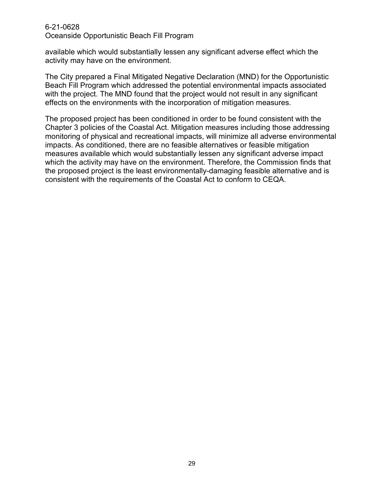available which would substantially lessen any significant adverse effect which the activity may have on the environment.

The City prepared a Final Mitigated Negative Declaration (MND) for the Opportunistic Beach Fill Program which addressed the potential environmental impacts associated with the project. The MND found that the project would not result in any significant effects on the environments with the incorporation of mitigation measures.

The proposed project has been conditioned in order to be found consistent with the Chapter 3 policies of the Coastal Act. Mitigation measures including those addressing monitoring of physical and recreational impacts, will minimize all adverse environmental impacts. As conditioned, there are no feasible alternatives or feasible mitigation measures available which would substantially lessen any significant adverse impact which the activity may have on the environment. Therefore, the Commission finds that the proposed project is the least environmentally-damaging feasible alternative and is consistent with the requirements of the Coastal Act to conform to CEQA.